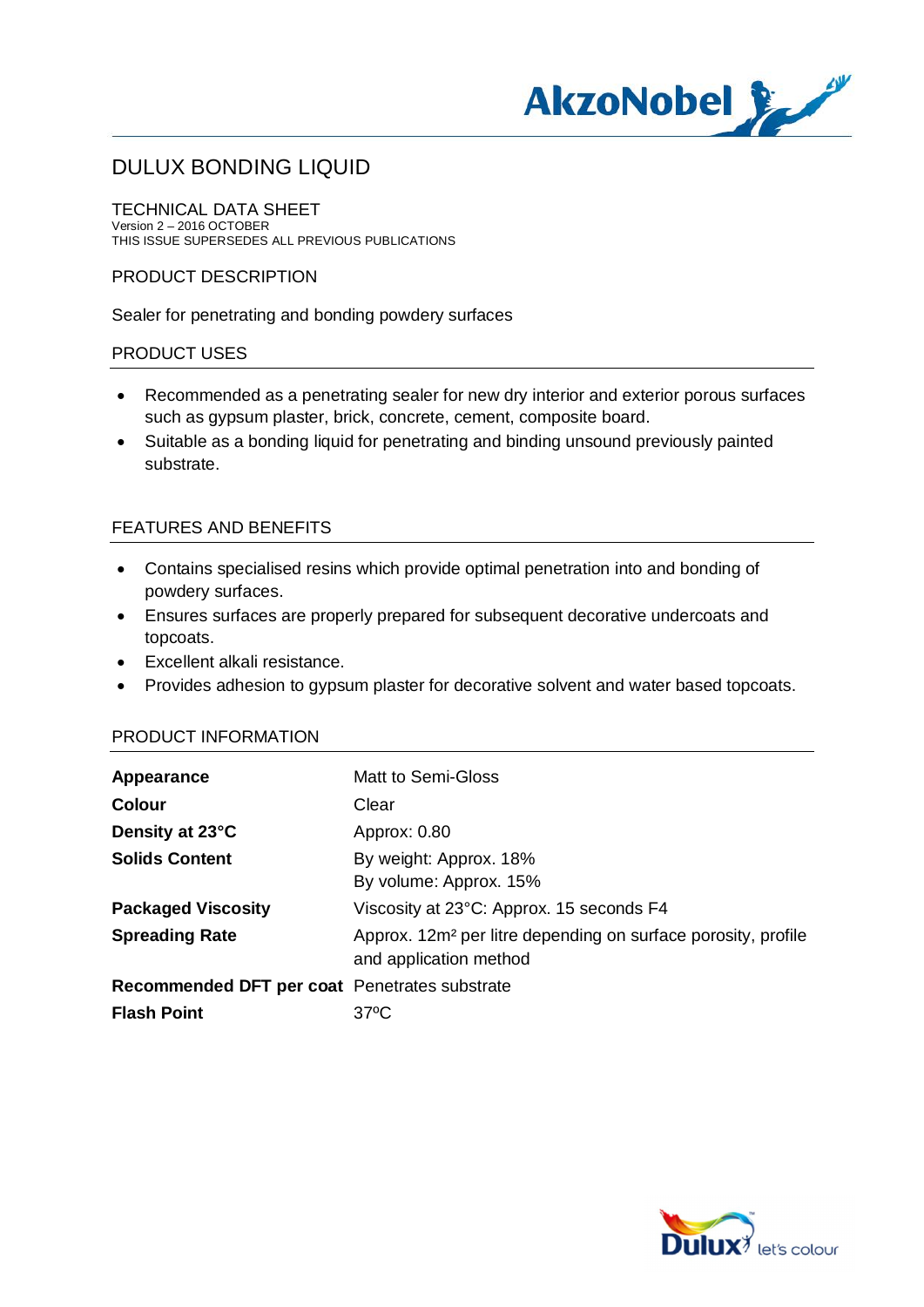

TECHNICAL DATA SHEET Version 2 – 2016 OCTOBER THIS ISSUE SUPERSEDES ALL PREVIOUS PUBLICATIONS

#### PRODUCT DESCRIPTION

Sealer for penetrating and bonding powdery surfaces

#### PRODUCT USES

- · Recommended as a penetrating sealer for new dry interior and exterior porous surfaces such as gypsum plaster, brick, concrete, cement, composite board.
- · Suitable as a bonding liquid for penetrating and binding unsound previously painted substrate.

#### FEATURES AND BENEFITS

- · Contains specialised resins which provide optimal penetration into and bonding of powdery surfaces.
- · Ensures surfaces are properly prepared for subsequent decorative undercoats and topcoats.
- Excellent alkali resistance.
- · Provides adhesion to gypsum plaster for decorative solvent and water based topcoats.

#### PRODUCT INFORMATION

| Appearance                                    | Matt to Semi-Gloss                                                                                  |
|-----------------------------------------------|-----------------------------------------------------------------------------------------------------|
| <b>Colour</b>                                 | Clear                                                                                               |
| Density at 23°C                               | Approx: 0.80                                                                                        |
| <b>Solids Content</b>                         | By weight: Approx. 18%                                                                              |
|                                               | By volume: Approx. 15%                                                                              |
| <b>Packaged Viscosity</b>                     | Viscosity at 23°C: Approx. 15 seconds F4                                                            |
| <b>Spreading Rate</b>                         | Approx. 12m <sup>2</sup> per litre depending on surface porosity, profile<br>and application method |
| Recommended DFT per coat Penetrates substrate |                                                                                                     |
| <b>Flash Point</b>                            | $37^{\circ}$ C                                                                                      |
|                                               |                                                                                                     |

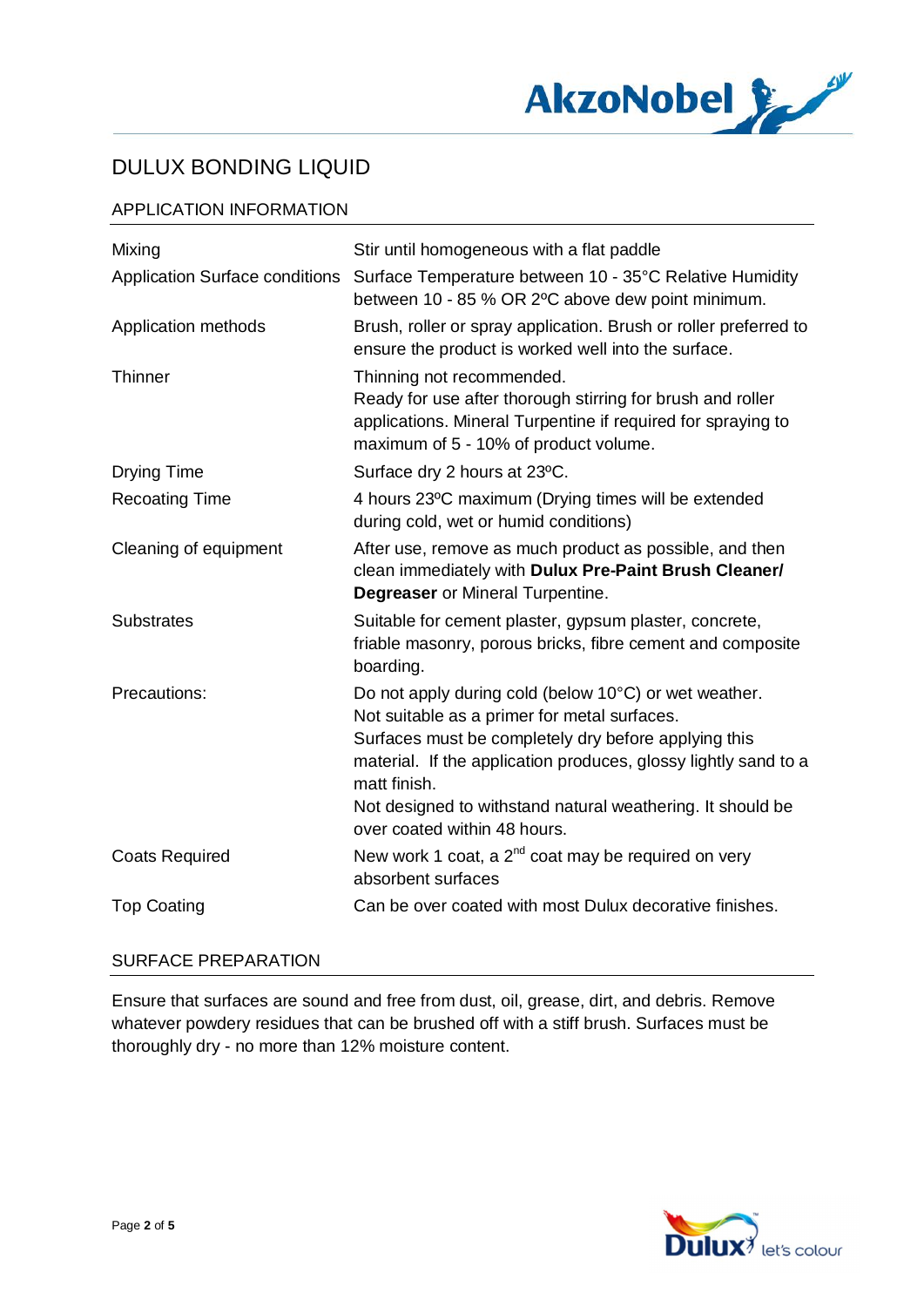

### APPLICATION INFORMATION

| Mixing                                | Stir until homogeneous with a flat paddle                                                                                                                                                                                                                                                                      |
|---------------------------------------|----------------------------------------------------------------------------------------------------------------------------------------------------------------------------------------------------------------------------------------------------------------------------------------------------------------|
| <b>Application Surface conditions</b> | Surface Temperature between 10 - 35°C Relative Humidity<br>between 10 - 85 % OR 2°C above dew point minimum.                                                                                                                                                                                                   |
| Application methods                   | Brush, roller or spray application. Brush or roller preferred to<br>ensure the product is worked well into the surface.                                                                                                                                                                                        |
| Thinner                               | Thinning not recommended.<br>Ready for use after thorough stirring for brush and roller<br>applications. Mineral Turpentine if required for spraying to<br>maximum of 5 - 10% of product volume.                                                                                                               |
| <b>Drying Time</b>                    | Surface dry 2 hours at 23°C.                                                                                                                                                                                                                                                                                   |
| <b>Recoating Time</b>                 | 4 hours 23°C maximum (Drying times will be extended<br>during cold, wet or humid conditions)                                                                                                                                                                                                                   |
| Cleaning of equipment                 | After use, remove as much product as possible, and then<br>clean immediately with Dulux Pre-Paint Brush Cleaner/<br><b>Degreaser</b> or Mineral Turpentine.                                                                                                                                                    |
| <b>Substrates</b>                     | Suitable for cement plaster, gypsum plaster, concrete,<br>friable masonry, porous bricks, fibre cement and composite<br>boarding.                                                                                                                                                                              |
| Precautions:                          | Do not apply during cold (below 10°C) or wet weather.<br>Not suitable as a primer for metal surfaces.<br>Surfaces must be completely dry before applying this<br>material. If the application produces, glossy lightly sand to a<br>matt finish.<br>Not designed to withstand natural weathering. It should be |
|                                       | over coated within 48 hours.                                                                                                                                                                                                                                                                                   |
| <b>Coats Required</b>                 | New work 1 coat, a $2^{nd}$ coat may be required on very<br>absorbent surfaces                                                                                                                                                                                                                                 |
| <b>Top Coating</b>                    | Can be over coated with most Dulux decorative finishes.                                                                                                                                                                                                                                                        |

## SURFACE PREPARATION

Ensure that surfaces are sound and free from dust, oil, grease, dirt, and debris. Remove whatever powdery residues that can be brushed off with a stiff brush. Surfaces must be thoroughly dry - no more than 12% moisture content.

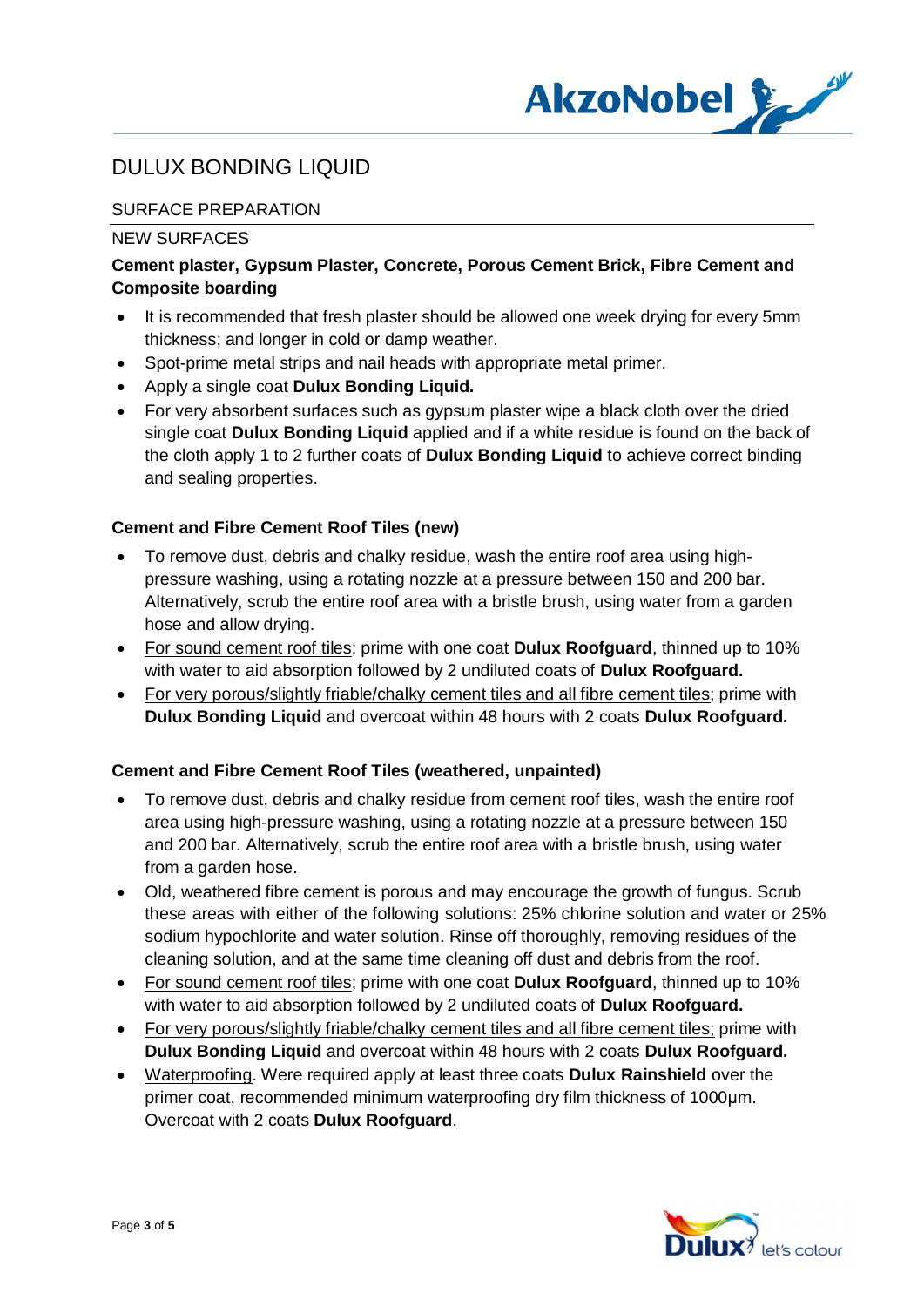

## SURFACE PREPARATION

#### NEW SURFACES

## **Cement plaster, Gypsum Plaster, Concrete, Porous Cement Brick, Fibre Cement and Composite boarding**

- It is recommended that fresh plaster should be allowed one week drying for every 5mm thickness; and longer in cold or damp weather.
- · Spot-prime metal strips and nail heads with appropriate metal primer.
- · Apply a single coat **Dulux Bonding Liquid.**
- · For very absorbent surfaces such as gypsum plaster wipe a black cloth over the dried single coat **Dulux Bonding Liquid** applied and if a white residue is found on the back of the cloth apply 1 to 2 further coats of **Dulux Bonding Liquid** to achieve correct binding and sealing properties.

### **Cement and Fibre Cement Roof Tiles (new)**

- · To remove dust, debris and chalky residue, wash the entire roof area using highpressure washing, using a rotating nozzle at a pressure between 150 and 200 bar. Alternatively, scrub the entire roof area with a bristle brush, using water from a garden hose and allow drying.
- · For sound cement roof tiles; prime with one coat **Dulux Roofguard**, thinned up to 10% with water to aid absorption followed by 2 undiluted coats of **Dulux Roofguard.**
- · For very porous/slightly friable/chalky cement tiles and all fibre cement tiles; prime with **Dulux Bonding Liquid** and overcoat within 48 hours with 2 coats **Dulux Roofguard.**

#### **Cement and Fibre Cement Roof Tiles (weathered, unpainted)**

- To remove dust, debris and chalky residue from cement roof tiles, wash the entire roof area using high-pressure washing, using a rotating nozzle at a pressure between 150 and 200 bar. Alternatively, scrub the entire roof area with a bristle brush, using water from a garden hose.
- · Old, weathered fibre cement is porous and may encourage the growth of fungus. Scrub these areas with either of the following solutions: 25% chlorine solution and water or 25% sodium hypochlorite and water solution. Rinse off thoroughly, removing residues of the cleaning solution, and at the same time cleaning off dust and debris from the roof.
- · For sound cement roof tiles; prime with one coat **Dulux Roofguard**, thinned up to 10% with water to aid absorption followed by 2 undiluted coats of **Dulux Roofguard.**
- · For very porous/slightly friable/chalky cement tiles and all fibre cement tiles; prime with **Dulux Bonding Liquid** and overcoat within 48 hours with 2 coats **Dulux Roofguard.**
- · Waterproofing. Were required apply at least three coats **Dulux Rainshield** over the primer coat, recommended minimum waterproofing dry film thickness of 1000μm. Overcoat with 2 coats **Dulux Roofguard**.

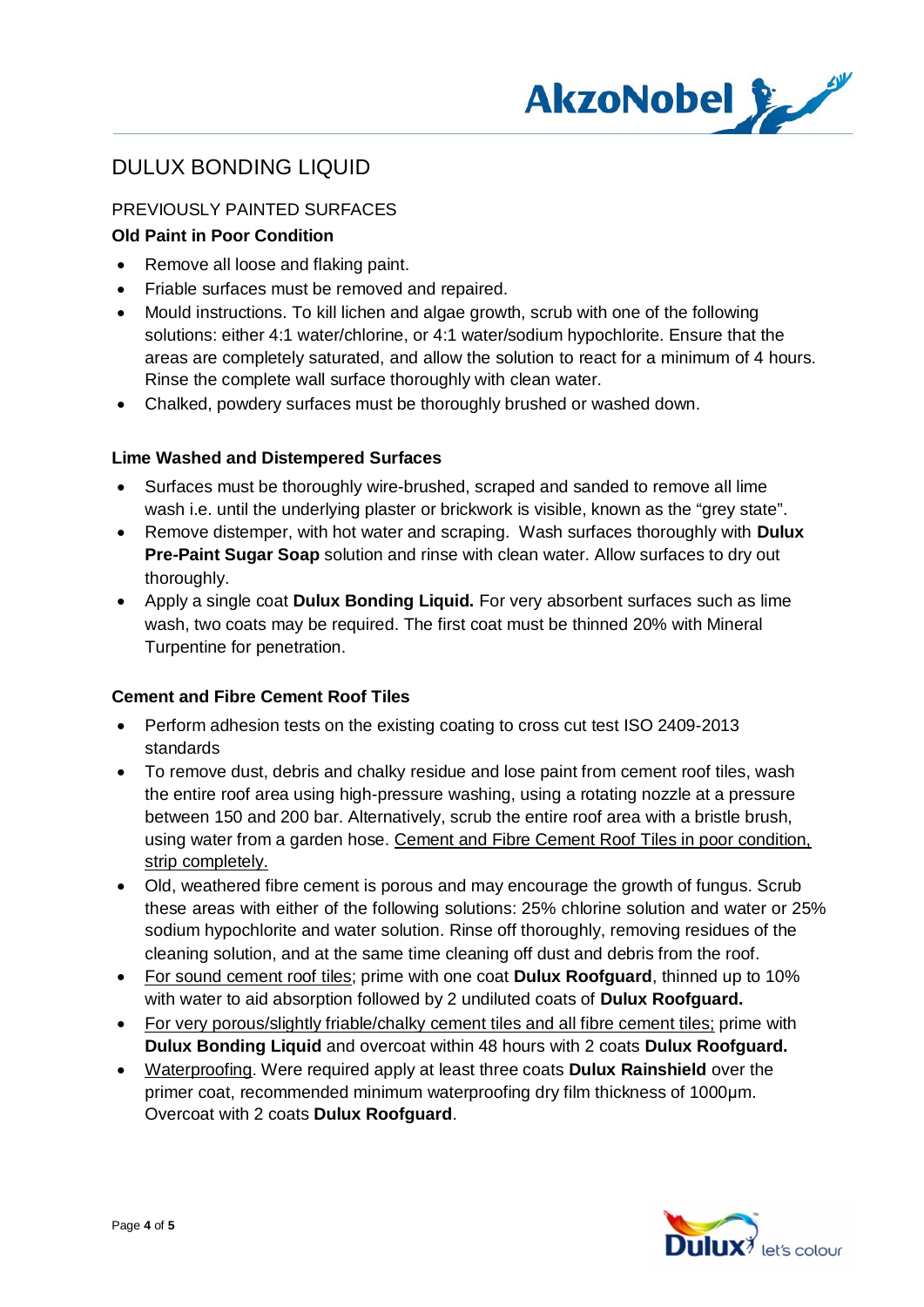

## PREVIOUSLY PAINTED SURFACES

## **Old Paint in Poor Condition**

- Remove all loose and flaking paint.
- · Friable surfaces must be removed and repaired.
- · Mould instructions. To kill lichen and algae growth, scrub with one of the following solutions: either 4:1 water/chlorine, or 4:1 water/sodium hypochlorite. Ensure that the areas are completely saturated, and allow the solution to react for a minimum of 4 hours. Rinse the complete wall surface thoroughly with clean water.
- · Chalked, powdery surfaces must be thoroughly brushed or washed down.

#### **Lime Washed and Distempered Surfaces**

- · Surfaces must be thoroughly wire-brushed, scraped and sanded to remove all lime wash i.e. until the underlying plaster or brickwork is visible, known as the "grey state".
- · Remove distemper, with hot water and scraping. Wash surfaces thoroughly with **Dulux Pre-Paint Sugar Soap** solution and rinse with clean water. Allow surfaces to dry out thoroughly.
- · Apply a single coat **Dulux Bonding Liquid.** For very absorbent surfaces such as lime wash, two coats may be required. The first coat must be thinned 20% with Mineral Turpentine for penetration.

#### **Cement and Fibre Cement Roof Tiles**

- · Perform adhesion tests on the existing coating to cross cut test ISO 2409-2013 standards
- · To remove dust, debris and chalky residue and lose paint from cement roof tiles, wash the entire roof area using high-pressure washing, using a rotating nozzle at a pressure between 150 and 200 bar. Alternatively, scrub the entire roof area with a bristle brush, using water from a garden hose. Cement and Fibre Cement Roof Tiles in poor condition, strip completely.
- · Old, weathered fibre cement is porous and may encourage the growth of fungus. Scrub these areas with either of the following solutions: 25% chlorine solution and water or 25% sodium hypochlorite and water solution. Rinse off thoroughly, removing residues of the cleaning solution, and at the same time cleaning off dust and debris from the roof.
- · For sound cement roof tiles; prime with one coat **Dulux Roofguard**, thinned up to 10% with water to aid absorption followed by 2 undiluted coats of **Dulux Roofguard.**
- · For very porous/slightly friable/chalky cement tiles and all fibre cement tiles; prime with **Dulux Bonding Liquid** and overcoat within 48 hours with 2 coats **Dulux Roofguard.**
- · Waterproofing. Were required apply at least three coats **Dulux Rainshield** over the primer coat, recommended minimum waterproofing dry film thickness of 1000μm. Overcoat with 2 coats **Dulux Roofguard**.